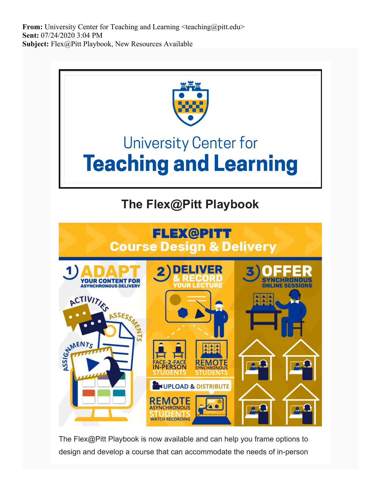**From:** University Center for Teaching and Learning  $\leq$ teaching@pitt.edu> **Sent:** 07/24/2020 3:04 PM **Subject:** Flex@Pitt Playbook, New Resources Available



The Flex@Pitt Playbook is now available and can help you frame options to design and develop a course that can accommodate the needs of in-person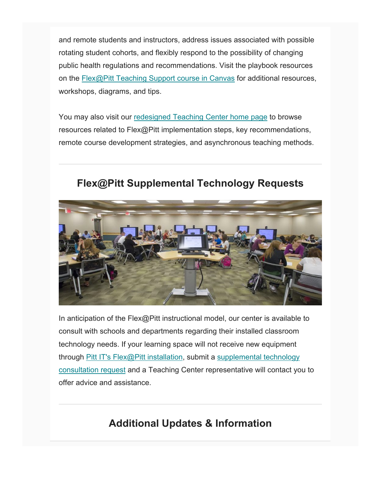and remote students and instructors, address issues associated with possible rotating student cohorts, and flexibly respond to the possibility of changing public health regulations and recommendations. Visit the playbook resources on the [Flex@Pitt Teaching Support course in Canvas](https://nam05.safelinks.protection.outlook.com/?url=https%3A%2F%2Fpitt.us11.list-manage.com%2Ftrack%2Fclick%3Fu%3D7ffe6d64cc382ff1672f20448%26id%3D4c0fb60496%26e%3Dde6041e250&data=02%7C01%7Cjoeg%40pitt.edu%7C2af1fae10003446058e708d83004b9e9%7C9ef9f489e0a04eeb87cc3a526112fd0d%7C1%7C0%7C637312144137787884&sdata=aim4ofOQlLJbchjDVRp7IJrn6%2BxkP8XA%2BJmbXGNxY3Y%3D&reserved=0) for additional resources, workshops, diagrams, and tips.

You may also visit our [redesigned Teaching Center home page](https://nam05.safelinks.protection.outlook.com/?url=https%3A%2F%2Fpitt.us11.list-manage.com%2Ftrack%2Fclick%3Fu%3D7ffe6d64cc382ff1672f20448%26id%3D8f3f3149a1%26e%3Dde6041e250&data=02%7C01%7Cjoeg%40pitt.edu%7C2af1fae10003446058e708d83004b9e9%7C9ef9f489e0a04eeb87cc3a526112fd0d%7C1%7C0%7C637312144137787884&sdata=IhGRCpj1vZKdmYMaZfPgGoWdszBdP2jCinGE26bZPhA%3D&reserved=0) to browse resources related to Flex@Pitt implementation steps, key recommendations, remote course development strategies, and asynchronous teaching methods.

## **Flex@Pitt Supplemental Technology Requests**



In anticipation of the Flex@Pitt instructional model, our center is available to consult with schools and departments regarding their installed classroom technology needs. If your learning space will not receive new equipment through [Pitt IT's Flex@Pitt installation,](https://nam05.safelinks.protection.outlook.com/?url=https%3A%2F%2Fpitt.us11.list-manage.com%2Ftrack%2Fclick%3Fu%3D7ffe6d64cc382ff1672f20448%26id%3D2511500464%26e%3Dde6041e250&data=02%7C01%7Cjoeg%40pitt.edu%7C2af1fae10003446058e708d83004b9e9%7C9ef9f489e0a04eeb87cc3a526112fd0d%7C1%7C0%7C637312144137797841&sdata=sUnBB4K%2FWU0RmFBKHA1%2FEhBPAK7c7j5%2BUEiDdlcoS7U%3D&reserved=0) submit a [supplemental technology](https://nam05.safelinks.protection.outlook.com/?url=https%3A%2F%2Fpitt.us11.list-manage.com%2Ftrack%2Fclick%3Fu%3D7ffe6d64cc382ff1672f20448%26id%3Dc04e9a80f6%26e%3Dde6041e250&data=02%7C01%7Cjoeg%40pitt.edu%7C2af1fae10003446058e708d83004b9e9%7C9ef9f489e0a04eeb87cc3a526112fd0d%7C1%7C0%7C637312144137797841&sdata=76AIPCPQFGvx68fS8LhnhnBxxqzCUBjHrxcePE6POrE%3D&reserved=0)  [consultation request](https://nam05.safelinks.protection.outlook.com/?url=https%3A%2F%2Fpitt.us11.list-manage.com%2Ftrack%2Fclick%3Fu%3D7ffe6d64cc382ff1672f20448%26id%3Dc04e9a80f6%26e%3Dde6041e250&data=02%7C01%7Cjoeg%40pitt.edu%7C2af1fae10003446058e708d83004b9e9%7C9ef9f489e0a04eeb87cc3a526112fd0d%7C1%7C0%7C637312144137797841&sdata=76AIPCPQFGvx68fS8LhnhnBxxqzCUBjHrxcePE6POrE%3D&reserved=0) and a Teaching Center representative will contact you to offer advice and assistance.

## **Additional Updates & Information**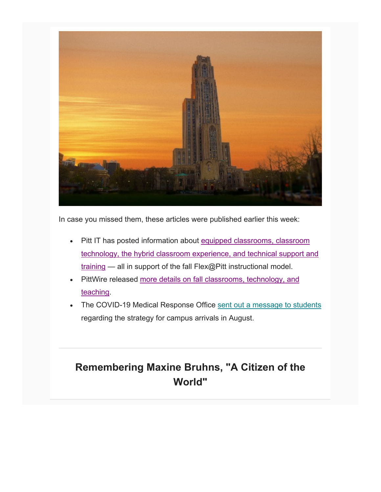

In case you missed them, these articles were published earlier this week:

- Pitt IT has posted information about [equipped classrooms, classroom](https://nam05.safelinks.protection.outlook.com/?url=https%3A%2F%2Fpitt.us11.list-manage.com%2Ftrack%2Fclick%3Fu%3D7ffe6d64cc382ff1672f20448%26id%3D6dcdcb0579%26e%3Dde6041e250&data=02%7C01%7Cjoeg%40pitt.edu%7C2af1fae10003446058e708d83004b9e9%7C9ef9f489e0a04eeb87cc3a526112fd0d%7C1%7C0%7C637312144137807793&sdata=UCK%2BoOwZjz7ZvuP%2FtwclM4JSBU8AsI9eRH9puP%2FqsHY%3D&reserved=0)  [technology, the hybrid classroom experience, and technical support and](https://nam05.safelinks.protection.outlook.com/?url=https%3A%2F%2Fpitt.us11.list-manage.com%2Ftrack%2Fclick%3Fu%3D7ffe6d64cc382ff1672f20448%26id%3D6dcdcb0579%26e%3Dde6041e250&data=02%7C01%7Cjoeg%40pitt.edu%7C2af1fae10003446058e708d83004b9e9%7C9ef9f489e0a04eeb87cc3a526112fd0d%7C1%7C0%7C637312144137807793&sdata=UCK%2BoOwZjz7ZvuP%2FtwclM4JSBU8AsI9eRH9puP%2FqsHY%3D&reserved=0)  [training](https://nam05.safelinks.protection.outlook.com/?url=https%3A%2F%2Fpitt.us11.list-manage.com%2Ftrack%2Fclick%3Fu%3D7ffe6d64cc382ff1672f20448%26id%3D6dcdcb0579%26e%3Dde6041e250&data=02%7C01%7Cjoeg%40pitt.edu%7C2af1fae10003446058e708d83004b9e9%7C9ef9f489e0a04eeb87cc3a526112fd0d%7C1%7C0%7C637312144137807793&sdata=UCK%2BoOwZjz7ZvuP%2FtwclM4JSBU8AsI9eRH9puP%2FqsHY%3D&reserved=0) — all in support of the fall Flex@Pitt instructional model.
- PittWire released more details on fall classrooms, technology, and [teaching.](https://nam05.safelinks.protection.outlook.com/?url=https%3A%2F%2Fpitt.us11.list-manage.com%2Ftrack%2Fclick%3Fu%3D7ffe6d64cc382ff1672f20448%26id%3D2300310b6f%26e%3Dde6041e250&data=02%7C01%7Cjoeg%40pitt.edu%7C2af1fae10003446058e708d83004b9e9%7C9ef9f489e0a04eeb87cc3a526112fd0d%7C1%7C0%7C637312144137807793&sdata=4O8b6w1EWwGiWtDG8QDadrMwEas8sfX%2FMMYYIM%2F84%2FE%3D&reserved=0)
- The COVID-19 Medical Response Office [sent out a message to students](https://nam05.safelinks.protection.outlook.com/?url=https%3A%2F%2Fpitt.us11.list-manage.com%2Ftrack%2Fclick%3Fu%3D7ffe6d64cc382ff1672f20448%26id%3De37f293019%26e%3Dde6041e250&data=02%7C01%7Cjoeg%40pitt.edu%7C2af1fae10003446058e708d83004b9e9%7C9ef9f489e0a04eeb87cc3a526112fd0d%7C1%7C0%7C637312144137817759&sdata=4OdS6svaYoVGn10%2F2W7KIKeMx1YSUEi1X7ymyywU63o%3D&reserved=0) regarding the strategy for campus arrivals in August.

## **Remembering Maxine Bruhns, "A Citizen of the World"**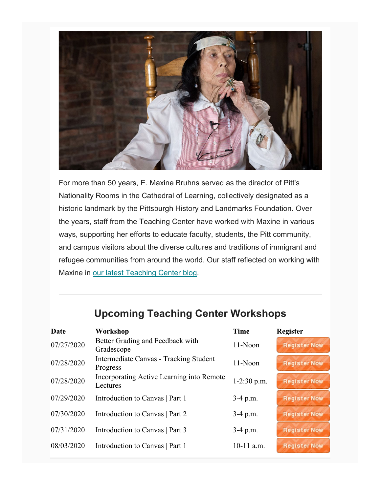

For more than 50 years, E. Maxine Bruhns served as the director of Pitt's Nationality Rooms in the Cathedral of Learning, collectively designated as a historic landmark by the Pittsburgh History and Landmarks Foundation. Over the years, staff from the Teaching Center have worked with Maxine in various ways, supporting her efforts to educate faculty, students, the Pitt community, and campus visitors about the diverse cultures and traditions of immigrant and refugee communities from around the world. Our staff reflected on working with Maxine in [our latest Teaching Center blog.](https://nam05.safelinks.protection.outlook.com/?url=https%3A%2F%2Fpitt.us11.list-manage.com%2Ftrack%2Fclick%3Fu%3D7ffe6d64cc382ff1672f20448%26id%3D3f3be69015%26e%3Dde6041e250&data=02%7C01%7Cjoeg%40pitt.edu%7C2af1fae10003446058e708d83004b9e9%7C9ef9f489e0a04eeb87cc3a526112fd0d%7C1%7C0%7C637312144137817759&sdata=QsdSQRBnGEny5opBRxNLjH6Aj5K2sHFN%2F%2Fu4xg%2FiTDY%3D&reserved=0)

## **Upcoming Teaching Center Workshops**

| Date       | Workshop                                              | <b>Time</b>   | <b>Register</b>     |
|------------|-------------------------------------------------------|---------------|---------------------|
| 07/27/2020 | Better Grading and Feedback with<br>Gradescope        | 11-Noon       | <b>Register Now</b> |
| 07/28/2020 | Intermediate Canvas - Tracking Student<br>Progress    | 11-Noon       | <b>Register Now</b> |
| 07/28/2020 | Incorporating Active Learning into Remote<br>Lectures | $1-2:30$ p.m. | <b>Register Now</b> |
| 07/29/2020 | Introduction to Canvas   Part 1                       | $3-4$ p.m.    | <b>Register Now</b> |
| 07/30/2020 | Introduction to Canvas   Part 2                       | $3-4$ p.m.    | <b>Register Now</b> |
| 07/31/2020 | Introduction to Canvas   Part 3                       | $3-4$ p.m.    | <b>Register Now</b> |
| 08/03/2020 | Introduction to Canvas   Part 1                       | $10-11$ a.m.  | <b>Register Now</b> |